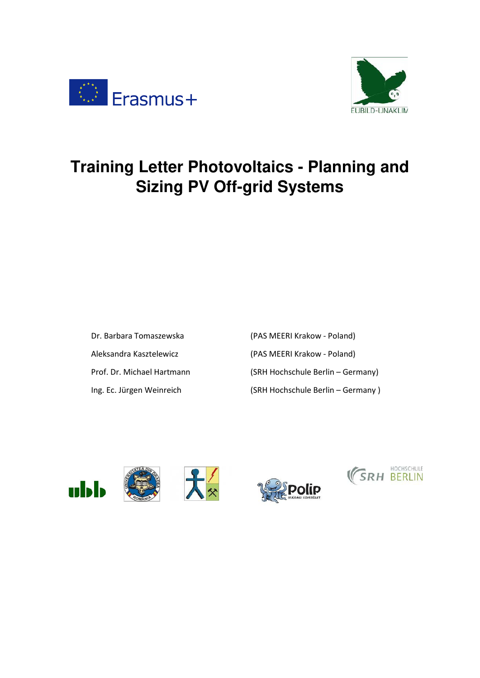



# **Training Letter Photovoltaics - Planning and Sizing PV Off-grid Systems**

Dr. Barbara Tomaszewska (PAS MEERI Krakow - Poland) Aleksandra Kasztelewicz (PAS MEERI Krakow - Poland) Prof. Dr. Michael Hartmann (SRH Hochschule Berlin – Germany) Ing. Ec. Jürgen Weinreich (SRH Hochschule Berlin – Germany )







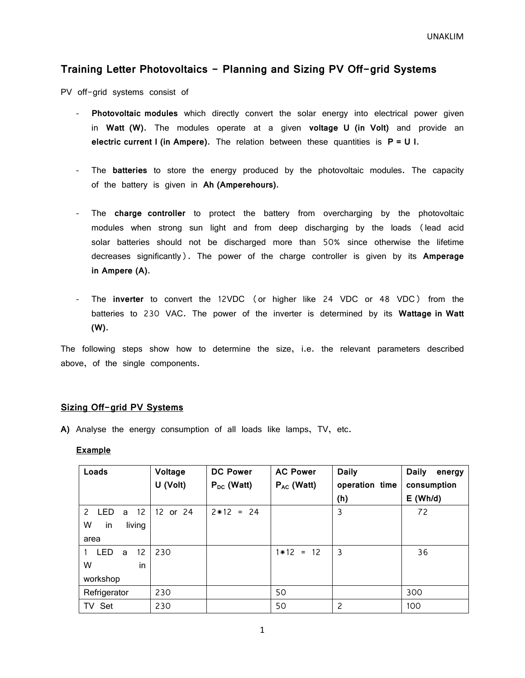#### **Training Letter Photovoltaics - Planning and Sizing PV Off-grid Systems**

PV off-grid systems consist of

- **Photovoltaic modules** which directly convert the solar energy into electrical power given in **Watt (W)**. The modules operate at a given **voltage U (in Volt)** and provide an **electric current I (in Ampere)**. The relation between these quantities is **P = U I**.
- The **batteries** to store the energy produced by the photovoltaic modules. The capacity of the battery is given in **Ah (Amperehours)**.
- The **charge controller** to protect the battery from overcharging by the photovoltaic modules when strong sun light and from deep discharging by the loads (lead acid solar batteries should not be discharged more than 50% since otherwise the lifetime decreases significantly). The power of the charge controller is given by its **Amperage in Ampere (A)**.
- The **inverter** to convert the 12VDC (or higher like 24 VDC or 48 VDC) from the batteries to 230 VAC. The power of the inverter is determined by its **Wattage in Watt (W)**.

The following steps show how to determine the size, i.e. the relevant parameters described above, of the single components.

#### **Sizing Off-grid PV Systems**

**A)** Analyse the energy consumption of all loads like lamps, TV, etc.

#### **Example**

| Loads                                  | Voltage  | <b>DC Power</b> | <b>AC Power</b> | <b>Daily</b>   | <b>Daily</b><br>energy |
|----------------------------------------|----------|-----------------|-----------------|----------------|------------------------|
|                                        | U (Volt) | $P_{DC}$ (Watt) | $P_{AC}$ (Watt) | operation time | consumption            |
|                                        |          |                 |                 | (h)            | $E$ (Wh/d)             |
| -12<br>$\mathbf{2}$<br><b>LED</b><br>a | 12 or 24 | $2*12 = 24$     |                 | 3              | 72                     |
| W<br>living<br>in.                     |          |                 |                 |                |                        |
| area                                   |          |                 |                 |                |                        |
| <b>LED</b><br>12<br>a                  | 230      |                 | $1*12 = 12$     | 3              | 36                     |
| W<br>in                                |          |                 |                 |                |                        |
| workshop                               |          |                 |                 |                |                        |
| Refrigerator                           | 230      |                 | 50              |                | 300                    |
| TV Set                                 | 230      |                 | 50              | 2              | 100                    |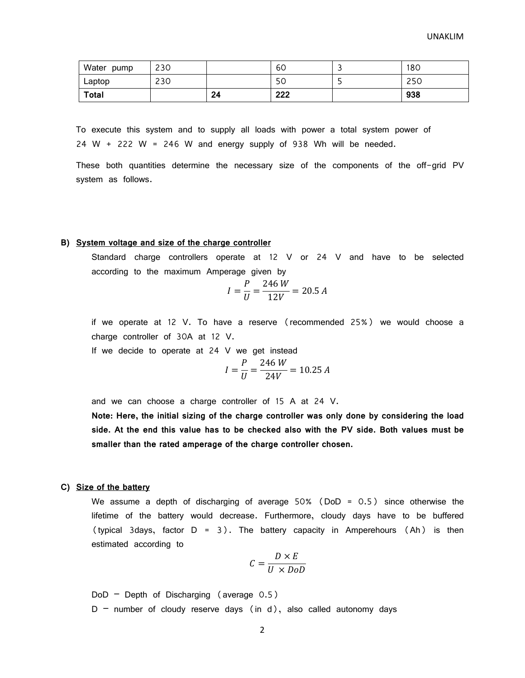| Water<br>pump | 230 |    | 60  | 180 |
|---------------|-----|----|-----|-----|
| Laptop        | 230 |    | 50  | 250 |
| <b>Total</b>  |     | 24 | 222 | 938 |

To execute this system and to supply all loads with power a total system power of  $24 \text{ W } + 222 \text{ W } = 246 \text{ W }$  and energy supply of 938 Wh will be needed.

These both quantities determine the necessary size of the components of the off-grid PV system as follows.

#### **B) System voltage and size of the charge controller**

Standard charge controllers operate at 12 V or 24 V and have to be selected according to the maximum Amperage given by

$$
I = \frac{P}{U} = \frac{246 \, W}{12V} = 20.5 \, A
$$

if we operate at 12 V. To have a reserve (recommended 25%) we would choose a charge controller of 30A at 12 V.

If we decide to operate at 24 V we get instead

$$
I = \frac{P}{U} = \frac{246 \text{ W}}{24 \text{V}} = 10.25 \text{ A}
$$

and we can choose a charge controller of 15 A at 24 V.

**Note: Here, the initial sizing of the charge controller was only done by considering the load side. At the end this value has to be checked also with the PV side. Both values must be smaller than the rated amperage of the charge controller chosen.** 

#### **C) Size of the battery**

We assume a depth of discharging of average  $50\%$  (DoD = 0.5) since otherwise the lifetime of the battery would decrease. Furthermore, cloudy days have to be buffered (typical 3days, factor D = 3). The battery capacity in Amperehours (Ah) is then estimated according to

$$
C = \frac{D \times E}{U \times DoD}
$$

 $DoD - Depth$  of Discharging (average  $0.5$ )

 $D$  – number of cloudy reserve days (in d), also called autonomy days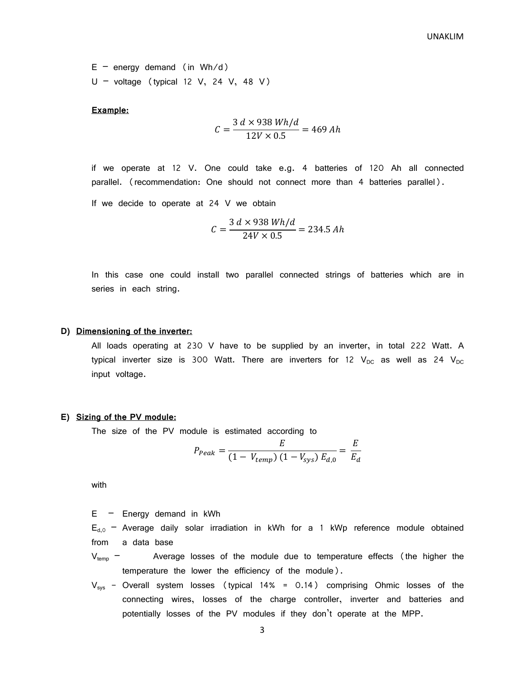$E -$  energy demand (in Wh/d)  $U -$  voltage (typical 12 V, 24 V, 48 V)

#### **Example:**

$$
C = \frac{3 d \times 938 Wh/d}{12V \times 0.5} = 469 Ah
$$

if we operate at 12 V. One could take e.g. 4 batteries of 120 Ah all connected parallel. (recommendation: One should not connect more than 4 batteries parallel).

If we decide to operate at 24 V we obtain

$$
C = \frac{3 d \times 938 Wh/d}{24V \times 0.5} = 234.5 Ah
$$

In this case one could install two parallel connected strings of batteries which are in series in each string.

#### **D) Dimensioning of the inverter:**

All loads operating at 230 V have to be supplied by an inverter, in total 222 Watt. A typical inverter size is 300 Watt. There are inverters for 12  $V_{DC}$  as well as 24  $V_{DC}$ input voltage.

#### **E) Sizing of the PV module:**

The size of the PV module is estimated according to

$$
P_{Peak} = \frac{E}{(1 - V_{temp}) (1 - V_{sys}) E_{d,0}} = \frac{E}{E_d}
$$

with

 $E -$  Energy demand in kWh

 $E_{d,0}$  – Average daily solar irradiation in kWh for a 1 kWp reference module obtained from a data base

 $V_{temp}$  – Average losses of the module due to temperature effects (the higher the temperature the lower the efficiency of the module).

 $V_{sys}$  - Overall system losses (typical 14% = 0.14) comprising Ohmic losses of the connecting wires, losses of the charge controller, inverter and batteries and potentially losses of the PV modules if they don't operate at the MPP.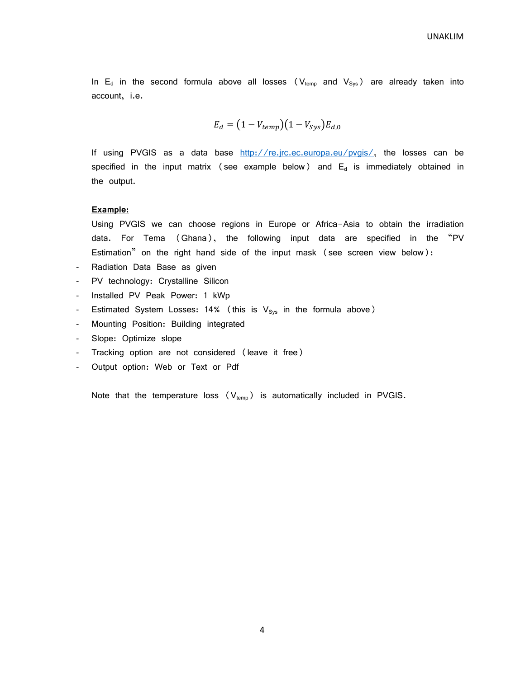In  $E_d$  in the second formula above all losses ( $V_{temp}$  and  $V_{Sys}$ ) are already taken into account, i.e.

$$
E_d = (1 - V_{temp})(1 - V_{sys})E_{d,0}
$$

If using PVGIS as a data base  $\frac{http://re.jrc.ec.europa.eu/pvgis/}{http://re.jrc.ec.europa.eu/pvgis/},$  the losses can be specified in the input matrix (see example below) and  $E_d$  is immediately obtained in the output.

#### **Example:**

Using PVGIS we can choose regions in Europe or Africa-Asia to obtain the irradiation data. For Tema (Ghana), the following input data are specified in the "PV Estimation" on the right hand side of the input mask (see screen view below):

- Radiation Data Base as given
- PV technology: Crystalline Silicon
- Installed PV Peak Power: 1 kWp
- Estimated System Losses: 14% (this is  $V_{sys}$  in the formula above)
- Mounting Position: Building integrated
- Slope: Optimize slope
- Tracking option are not considered (leave it free)
- Output option: Web or Text or Pdf

Note that the temperature loss  $(V_{temp})$  is automatically included in PVGIS.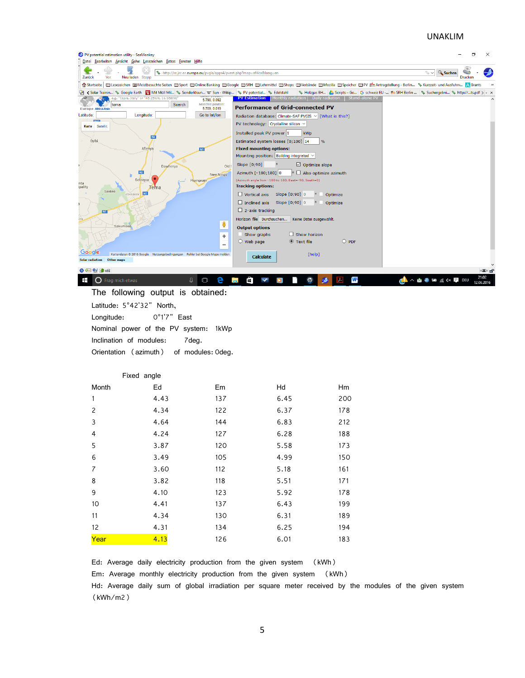#### UNAKLIM



Ed: Average daily electricity production from the given system (kWh)

Em: Average monthly electricity production from the given system (kWh)

Hd: Average daily sum of global irradiation per square meter received by the modules of the given system (kWh/m2)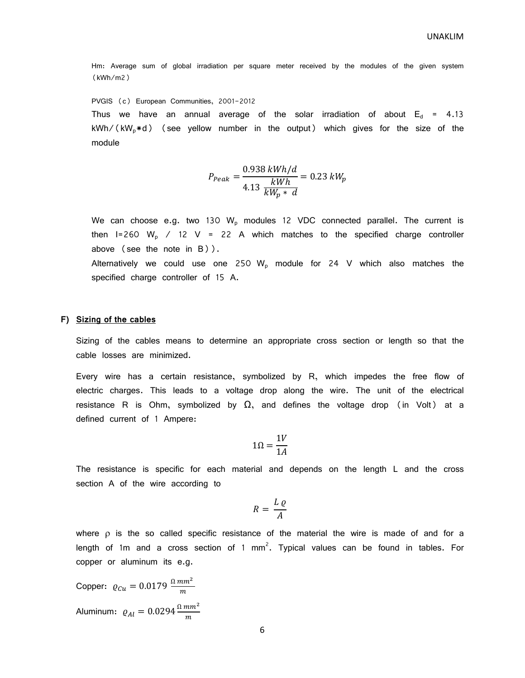Hm: Average sum of global irradiation per square meter received by the modules of the given system (kWh/m2)

PVGIS (c) European Communities, 2001-2012

Thus we have an annual average of the solar irradiation of about  $E_d = 4.13$  $kWh/$ ( $kW_0*d$ ) (see yellow number in the output) which gives for the size of the module

$$
P_{Peak} = \frac{0.938 \, kWh/d}{4.13 \, \frac{kWh}{kW_p * d}} = 0.23 \, kW_p
$$

We can choose e.g. two 130  $W_p$  modules 12 VDC connected parallel. The current is then I=260 W<sub>p</sub> / 12 V = 22 A which matches to the specified charge controller above (see the note in B)).

Alternatively we could use one 250  $W_p$  module for 24 V which also matches the specified charge controller of 15 A.

#### **F) Sizing of the cables**

Sizing of the cables means to determine an appropriate cross section or length so that the cable losses are minimized.

Every wire has a certain resistance, symbolized by R, which impedes the free flow of electric charges. This leads to a voltage drop along the wire. The unit of the electrical resistance R is Ohm, symbolized by  $\Omega$ , and defines the voltage drop (in Volt) at a defined current of 1 Ampere:

$$
1\Omega = \frac{1V}{1A}
$$

The resistance is specific for each material and depends on the length L and the cross section A of the wire according to

$$
R = \frac{L \varrho}{A}
$$

where  $\rho$  is the so called specific resistance of the material the wire is made of and for a length of 1m and a cross section of 1 mm<sup>2</sup>. Typical values can be found in tables. For copper or aluminum its e.g.

Copper:  $\varrho_{Cu} = 0.0179 \frac{\Omega \, mm^2}{m}$ Aluminum:  $\varrho_{Al}=0.0294\frac{\Omega\,mm^2}{m}$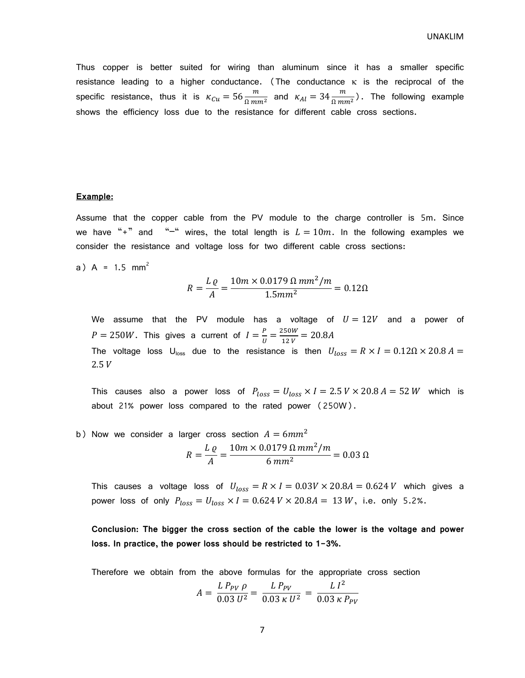Thus copper is better suited for wiring than aluminum since it has a smaller specific resistance leading to a higher conductance. (The conductance  $\kappa$  is the reciprocal of the specific resistance, thus it is  $\kappa_{Cu} = 56 \frac{m}{\Omega m m^2}$  and  $\kappa_{Al} = 34 \frac{m}{\Omega m m^2}$ ). The following example shows the efficiency loss due to the resistance for different cable cross sections.

#### **Example:**

Assume that the copper cable from the PV module to the charge controller is 5m. Since we have "+" and "-" wires, the total length is  $L = 10m$ . In the following examples we consider the resistance and voltage loss for two different cable cross sections:

a) A =  $1.5$  mm<sup>2</sup>

$$
R = \frac{L \varrho}{A} = \frac{10m \times 0.0179 \, \Omega \, mm^2 / m}{1.5mm^2} = 0.12 \Omega
$$

We assume that the PV module has a voltage of  $U = 12V$  and a power of  $P = 250W$ . This gives a current of  $I = \frac{P}{U}$  $\frac{P}{U} = \frac{250W}{12V}$  $\frac{230W}{12V} = 20.8A$ The voltage loss U<sub>loss</sub> due to the resistance is then  $U_{loss} = R \times I = 0.12 \Omega \times 20.8 A =$  $2.5 V$ 

This causes also a power loss of  $P_{loss} = U_{loss} \times I = 2.5 V \times 20.8 A = 52 W$  which is about 21% power loss compared to the rated power (250W).

b) Now we consider a larger cross section  $A = 6mm^2$  $R=\frac{LQ}{4}$  $=\frac{10 m \times 0.0179 \Omega m m^2/m}{6 m^2}$  $\frac{6.00 \text{ m} \cdot \text{m} \cdot \text{m}}{6.00 \text{ m}^2} = 0.03 \Omega$ 

 $\overline{A}$ 

This causes a voltage loss of  $U_{loss} = R \times I = 0.03V \times 20.8A = 0.624V$  which gives a power loss of only  $P_{loss} = U_{loss} \times I = 0.624 \text{ V} \times 20.8 \text{ A} = 13 \text{ W}$ , i.e. only 5.2%.

**Conclusion: The bigger the cross section of the cable the lower is the voltage and power loss. In practice, the power loss should be restricted to 1-3%.** 

Therefore we obtain from the above formulas for the appropriate cross section

$$
A = \frac{L P_{PV}}{0.03 U^2} = \frac{L P_{PV}}{0.03 \kappa U^2} = \frac{L I^2}{0.03 \kappa P_{PV}}
$$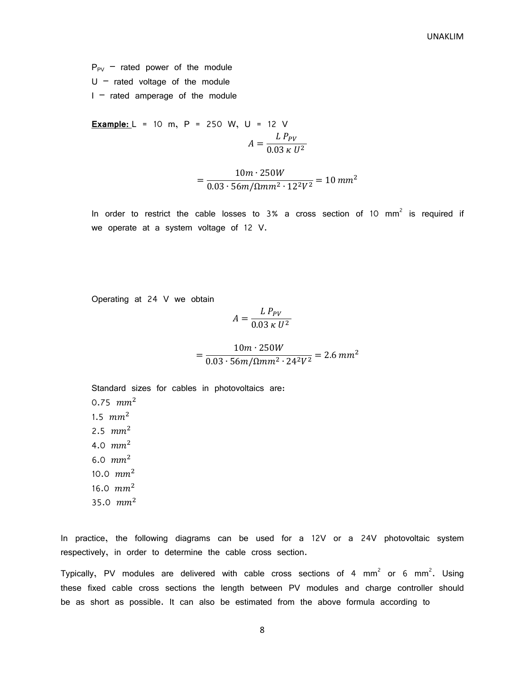$P_{PV}$  – rated power of the module  $U -$  rated voltage of the module  $I -$  rated amperage of the module

**Example:** L = 10 m, P = 250 W, U = 12 V  

$$
A = \frac{L P_{PV}}{0.03 \kappa U^2}
$$

$$
=\frac{10m \cdot 250W}{0.03 \cdot 56m/\Omega m m^2 \cdot 12^2 V^2} = 10 \, mm^2
$$

In order to restrict the cable losses to  $3%$  a cross section of 10 mm<sup>2</sup> is required if we operate at a system voltage of 12 V.

Operating at 24 V we obtain

$$
A = \frac{L P_{PV}}{0.03 \,\kappa \, U^2}
$$

$$
= \frac{10m \cdot 250W}{0.03 \cdot 56m/\Omega m m^2 \cdot 24^2 V^2} = 2.6 \, mm^2
$$

Standard sizes for cables in photovoltaics are: 0.75  $mm<sup>2</sup>$ 1.5  $mm<sup>2</sup>$ 2.5  $mm<sup>2</sup>$ 4.0  $mm^2$ 6.0  $mm^2$ 10.0  $mm^2$ 

- 16.0  $mm^2$
- 35.0  $mm<sup>2</sup>$

In practice, the following diagrams can be used for a 12V or a 24V photovoltaic system respectively, in order to determine the cable cross section.

Typically, PV modules are delivered with cable cross sections of 4 mm<sup>2</sup> or 6 mm<sup>2</sup>. Using these fixed cable cross sections the length between PV modules and charge controller should be as short as possible. It can also be estimated from the above formula according to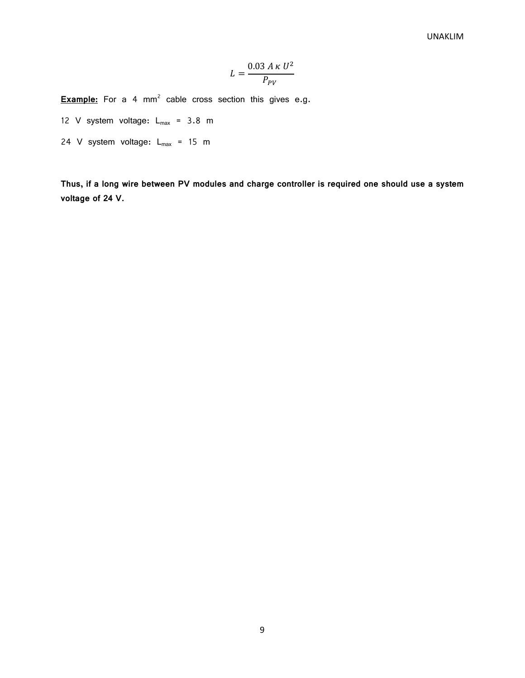$$
L = \frac{0.03 \, A \, \kappa \, U^2}{P_{PV}}
$$

**Example:** For a 4 mm<sup>2</sup> cable cross section this gives e.g.

- 12 V system voltage:  $L_{max} = 3.8$  m
- 24 V system voltage:  $L_{max}$  = 15 m

**Thus, if a long wire between PV modules and charge controller is required one should use a system voltage of 24 V.**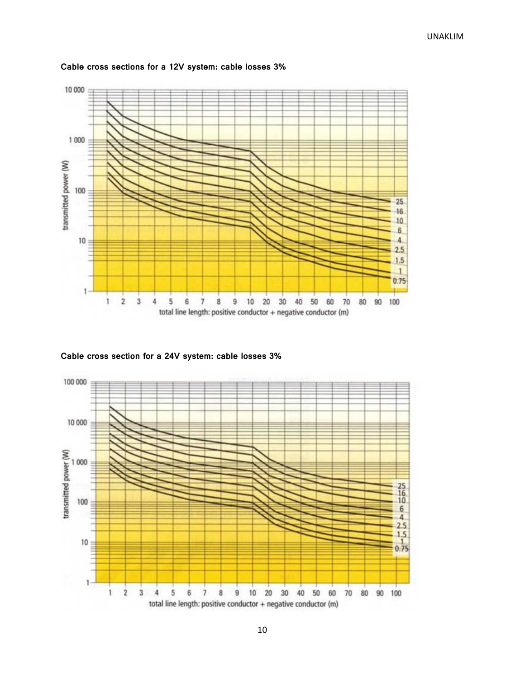

#### **Cable cross sections for a 12V system: cable losses 3%**

**Cable cross section for a 24V system: cable losses 3%**

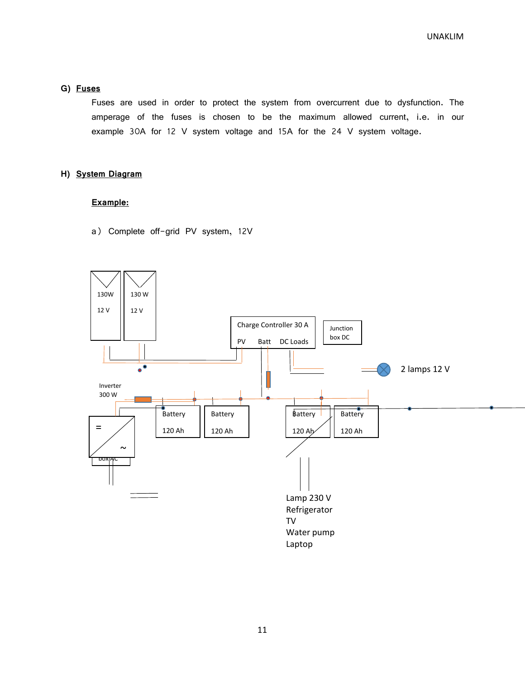UNAKLIM

#### **G) Fuses**

Fuses are used in order to protect the system from overcurrent due to dysfunction. The amperage of the fuses is chosen to be the maximum allowed current, i.e. in our example 30A for 12 V system voltage and 15A for the 24 V system voltage.

#### **H) System Diagram**

#### **Example:**

a) Complete off-grid PV system, 12V

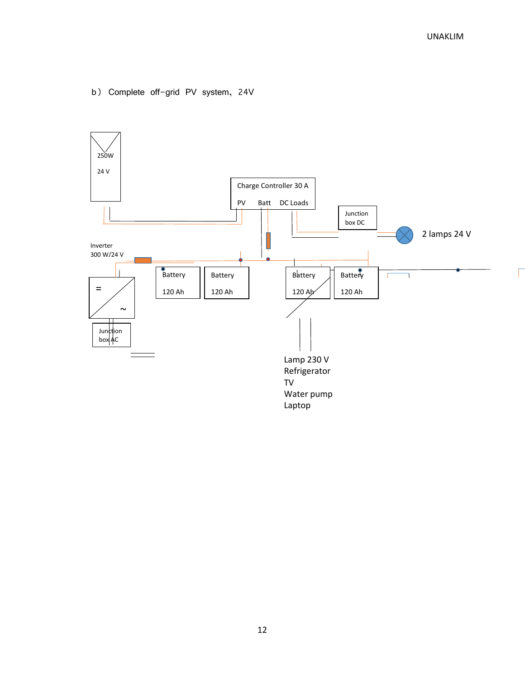b) Complete off-grid PV system, 24V

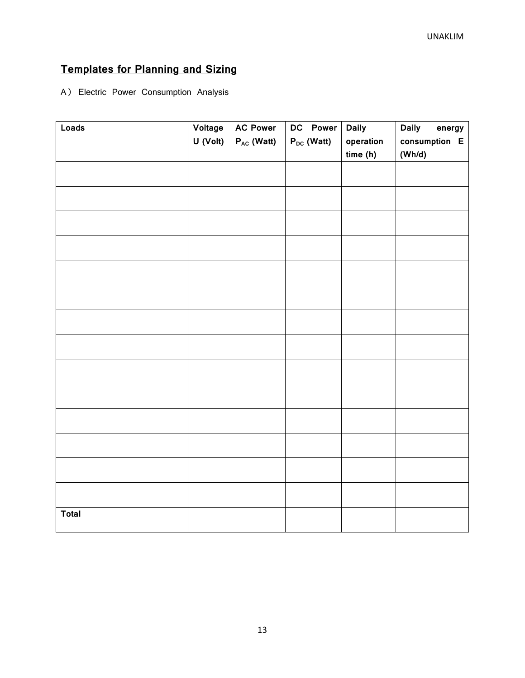## **Templates for Planning and Sizing**

### A) Electric Power Consumption Analysis

| Loads        | Voltage  | <b>AC Power</b> | DC Power        | <b>Daily</b> | <b>Daily</b><br>energy |
|--------------|----------|-----------------|-----------------|--------------|------------------------|
|              | U (Volt) | $P_{AC}$ (Watt) | $P_{DC}$ (Watt) | operation    | consumption E          |
|              |          |                 |                 | time(h)      | (Wh/d)                 |
|              |          |                 |                 |              |                        |
|              |          |                 |                 |              |                        |
|              |          |                 |                 |              |                        |
|              |          |                 |                 |              |                        |
|              |          |                 |                 |              |                        |
|              |          |                 |                 |              |                        |
|              |          |                 |                 |              |                        |
|              |          |                 |                 |              |                        |
|              |          |                 |                 |              |                        |
|              |          |                 |                 |              |                        |
|              |          |                 |                 |              |                        |
|              |          |                 |                 |              |                        |
|              |          |                 |                 |              |                        |
|              |          |                 |                 |              |                        |
|              |          |                 |                 |              |                        |
| <b>Total</b> |          |                 |                 |              |                        |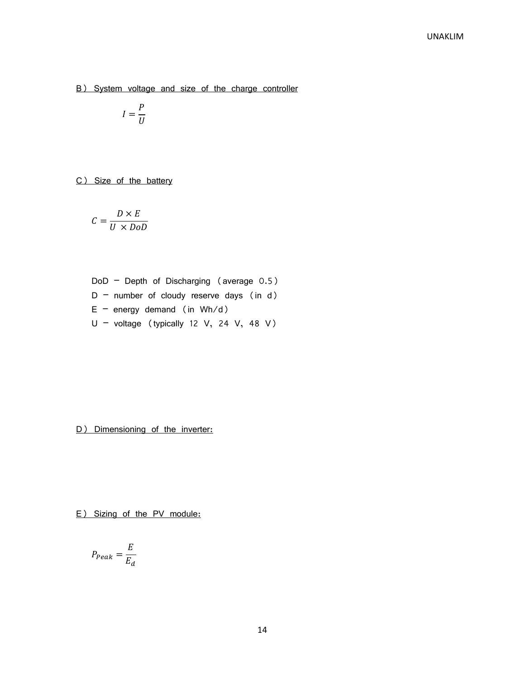B) System voltage and size of the charge controller

$$
I=\frac{P}{U}
$$

C) Size of the battery

$$
C = \frac{D \times E}{U \times DoD}
$$

DoD – Depth of Discharging (average 0.5)  $D$  – number of cloudy reserve days (in d)  $E -$  energy demand (in Wh/d)  $U -$  voltage (typically 12 V, 24 V, 48 V)

D) Dimensioning of the inverter:

E) Sizing of the PV module:

$$
P_{Peak} = \frac{E}{E_d}
$$